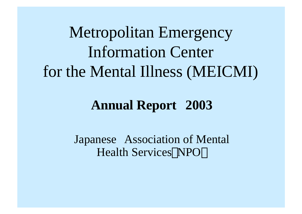Metropolitan Emergency Information Center for the Mental Illness (MEICMI)

# **Annual Report 2003**

Japanese Association of Mental Health Services NPO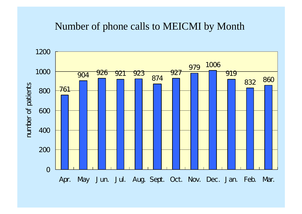#### Number of phone calls to MEICMI by Month

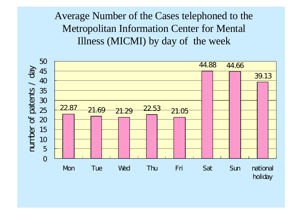# Average Number of the Cases telephoned to the Metropolitan Information Center for Mental Illness (MICMI) by day of the week

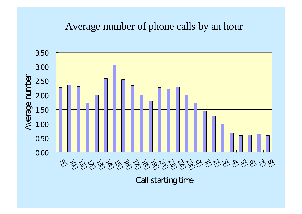#### Average number of phone calls by an hour



Call starting time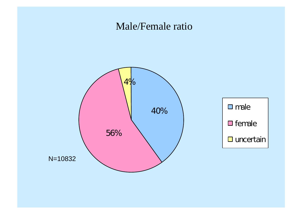#### Male/Female ratio

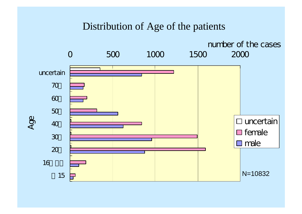#### Distribution of Age of the patients

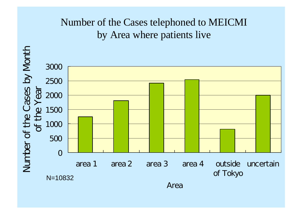## Number of the Cases telephoned to MEICMI by Area where patients live

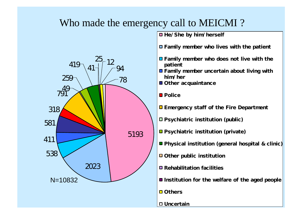### Who made the emergency call to MEICMI ?



 $\blacksquare$  He/She by him/herself

Family member who lives with the patient

- Family member who does not live with the patient
- **O** Family member uncertain about living with him/her
- Other acquaintance
- **D** Police
- **Example 1** Emergency staff of the Fire Department
- Psychiatric institution (public)
- Psychiatric institution (private)
- **Physical institution (general hospital & clinic)**
- Other public institution
- **E** Rehabilitation facilities
- Institution for the welfare of the aged people
- **Others**
- □ Uncertain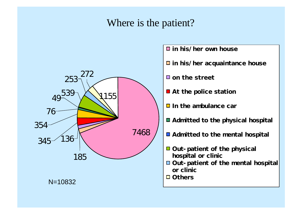#### Where is the patient?



 $\Box$  in his/her own house

- $\Box$  in his/her acquaintance house
- **O** on the street
- At the police station
- $\Box$  In the ambulance car
- Admitted to the physical hospital
- Admitted to the mental hospital
- Out-patient of the physical hospital or clinic
- □ Out- patient of the mental hospital or clinic
- □ Others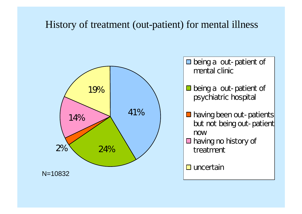#### History of treatment (out-patient) for mental illness



 $\Box$  being a out-patient of mental clinic

- $\Box$  being a out-patient of psychiatric hospital
- **having been out-patients** but not being out-patient now
- $\Box$  having no history of treatment

 $\square$  uncertain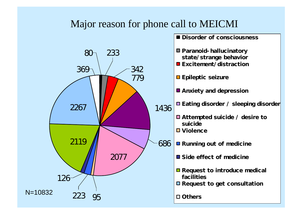### Major reason for phone call to MEICMI

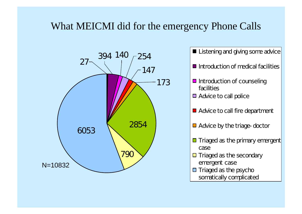## What MEICMI did for the emergency Phone Calls



**Listening and giving some advice** 

 $\blacksquare$  Introduction of medical facilities

- $\Box$  Introduction of counseling facilities
- $\Box$  Advice to call police
- Advice to call fire department
- Advice by the triage-doctor
- $\blacksquare$  Triaged as the primary emergent case
- $\Box$  Triaged as the secondary emergent case
- **T** Triaged as the psycho somatically complicated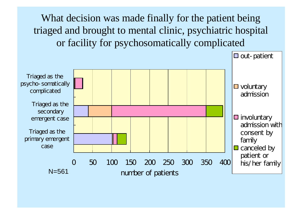What decision was made finally for the patient being triaged and brought to mental clinic, psychiatric hospital or facility for psychosomatically complicated

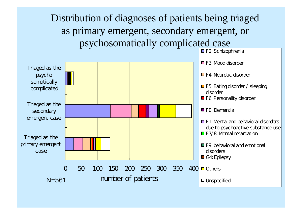# Distribution of diagnoses of patients being triaged as primary emergent, secondary emergent, or psychosomatically complicated case

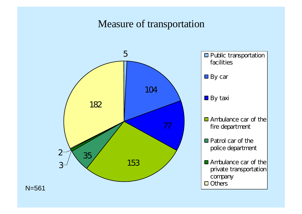### Measure of transportation





N=561